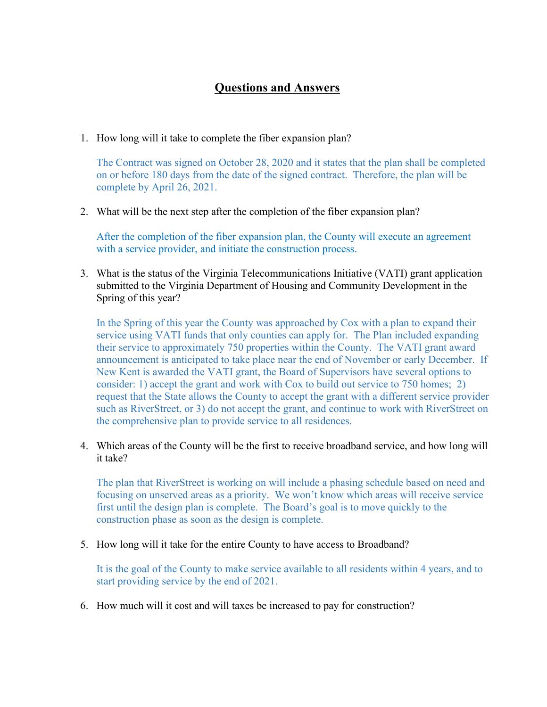## **Questions and Answers**

1. How long will it take to complete the fiber expansion plan?

The Contract was signed on October 28, 2020 and it states that the plan shall be completed on or before 180 days from the date of the signed contract. Therefore, the plan will be complete by April 26, 2021.

2. What will be the next step after the completion of the fiber expansion plan?

After the completion of the fiber expansion plan, the County will execute an agreement with a service provider, and initiate the construction process.

3. What is the status of the Virginia Telecommunications Initiative (VATI) grant application submitted to the Virginia Department of Housing and Community Development in the Spring of this year?

In the Spring of this year the County was approached by Cox with a plan to expand their service using VATI funds that only counties can apply for. The Plan included expanding their service to approximately 750 properties within the County. The VATI grant award announcement is anticipated to take place near the end of November or early December. If New Kent is awarded the VATI grant, the Board of Supervisors have several options to consider: 1) accept the grant and work with Cox to build out service to 750 homes; 2) request that the State allows the County to accept the grant with a different service provider such as RiverStreet, or 3) do not accept the grant, and continue to work with RiverStreet on the comprehensive plan to provide service to all residences.

4. Which areas of the County will be the first to receive broadband service, and how long will it take?

The plan that RiverStreet is working on will include a phasing schedule based on need and focusing on unserved areas as a priority. We won't know which areas will receive service first until the design plan is complete. The Board's goal is to move quickly to the construction phase as soon as the design is complete.

5. How long will it take for the entire County to have access to Broadband?

It is the goal of the County to make service available to all residents within 4 years, and to start providing service by the end of 2021.

6. How much will it cost and will taxes be increased to pay for construction?